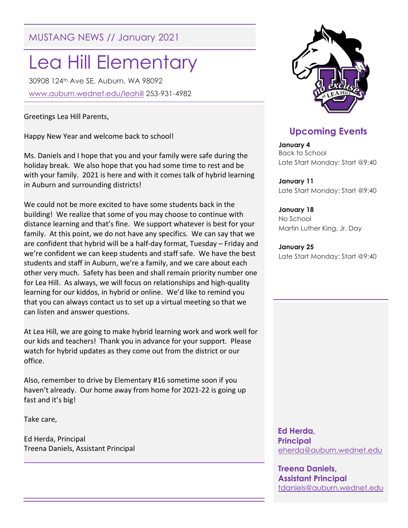MUSTANG NEWS // January 2021

# Lea Hill Elementary

30908 124th Ave SE, Auburn, WA 98092 www.auburn.wednet.edu/leahill 253-931-4982

Greetings Lea Hill Parents,

Happy New Year and welcome back to school!

Ms. Daniels and I hope that you and your family were safe during the holiday break. We also hope that you had some time to rest and be with your family. 2021 is here and with it comes talk of hybrid learning in Auburn and surrounding districts!

We could not be more excited to have some students back in the building! We realize that some of you may choose to continue with distance learning and that's fine. We support whatever is best for your family. At this point, we do not have any specifics. We can say that we are confident that hybrid will be a half-day format, Tuesday – Friday and we're confident we can keep students and staff safe. We have the best students and staff in Auburn, we're a family, and we care about each other very much. Safety has been and shall remain priority number one for Lea Hill. As always, we will focus on relationships and high-quality learning for our kiddos, in hybrid or online. We'd like to remind you that you can always contact us to set up a virtual meeting so that we can listen and answer questions.

At Lea Hill, we are going to make hybrid learning work and work well for our kids and teachers! Thank you in advance for your support. Please watch for hybrid updates as they come out from the district or our office.

Also, remember to drive by Elementary #16 sometime soon if you haven't already. Our home away from home for 2021-22 is going up fast and it's big!

Take care,

Ed Herda, Principal Treena Daniels, Assistant Principal



# Upcoming Events

January 4 Back to School Late Start Monday: Start @9:40

January 11 Late Start Monday: Start @9:40

January 18 No School Martin Luther King, Jr. Day

January 25 Late Start Monday: Start @9:40

 Ed Herda, **Principal** eherda@auburn.wednet.edu

Treena Daniels, Assistant Principal tdaniels@auburn.wednet.edu